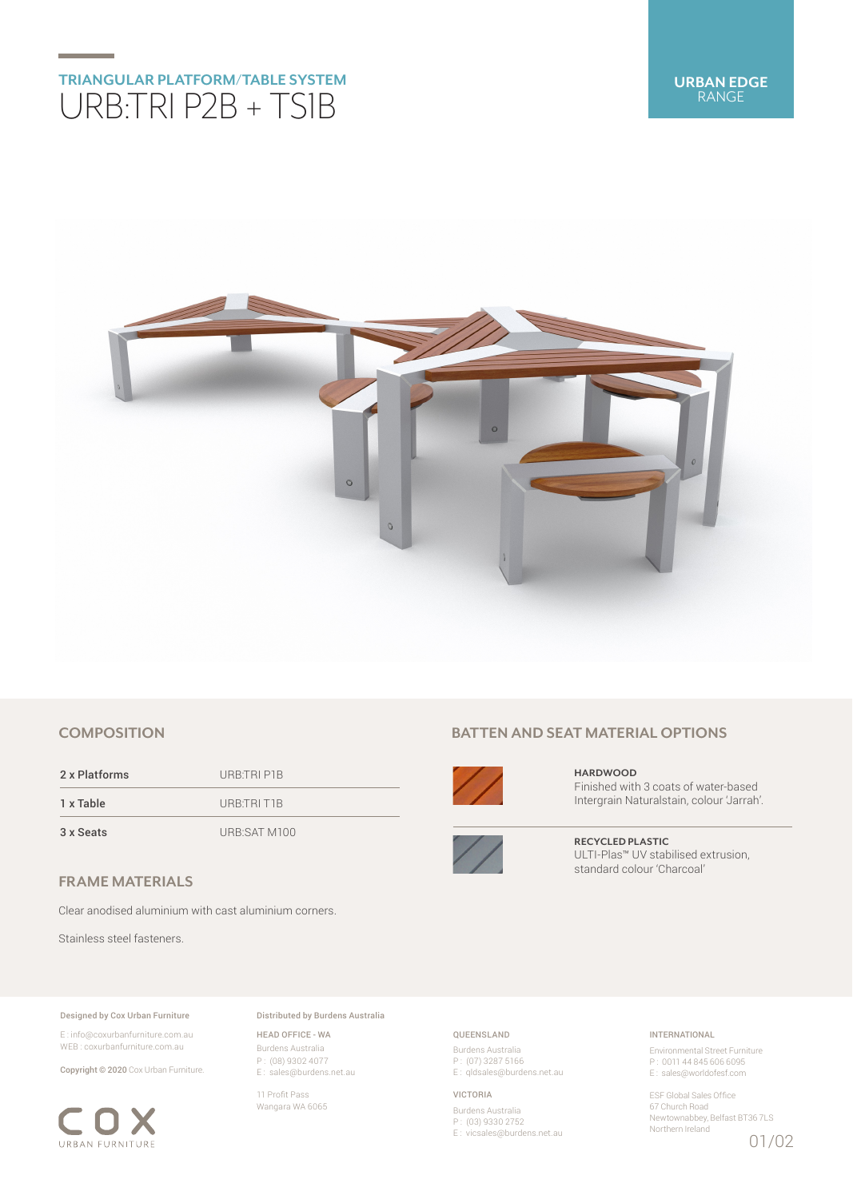## **TRIANGULAR PLATFORM/TABLE SYSTEM** URB:TRI P2B + TS1B



## **COMPOSITION**

2 x Platforms URB:TRI P1B 1 x Table URB:TRI T1B

3 x Seats URB:SAT M100

**FRAME MATERIALS**

Clear anodised aluminium with cast aluminium corners.

Stainless steel fasteners.

#### Designed by Cox Urban Furniture

E : info@coxurbanfurniture.com.au WEB : coxurbanfurniture.com.au

Copyright © 2020 Cox Urban Furniture.



Distributed by Burdens Australia

HEAD OFFICE - WA Burdens Australia P : (08) 9302 4077 E : sales@burdens.net.au

11 Profit Pass Wangara WA 6065

## **BATTEN AND SEAT MATERIAL OPTIONS**



**HARDWOOD** Finished with 3 coats of water-based Intergrain Naturalstain, colour 'Jarrah'.



**RECYCLED PLASTIC** ULTI-Plas™ UV stabilised extrusion, standard colour 'Charcoal'

### QUEENSLAND

Burdens Australia P : (07) 3287 5166 E : qldsales@burdens.net.au

#### VICTORIA

Burdens Australia P : (03) 9330 2752 E : vicsales@burdens.net.au

### INTERNATIONAL

Environmental Street Furniture P : 0011 44 845 606 6095 E : sales@worldofesf.com

ESF Global Sales Office 67 Church Road Newtownabbey, Belfast BT36 7LS Northern Ireland

01/02